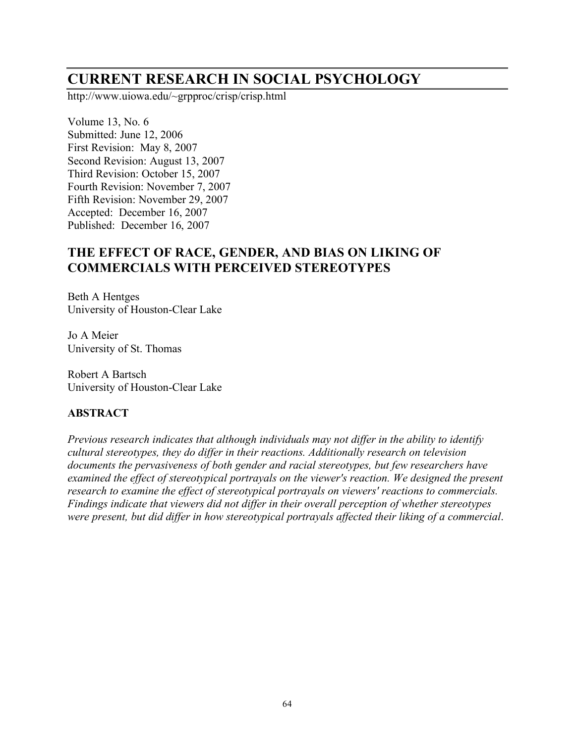# **CURRENT RESEARCH IN SOCIAL PSYCHOLOGY**

http://www.uiowa.edu/~grpproc/crisp/crisp.html

Volume 13, No. 6 Submitted: June 12, 2006 First Revision: May 8, 2007 Second Revision: August 13, 2007 Third Revision: October 15, 2007 Fourth Revision: November 7, 2007 Fifth Revision: November 29, 2007 Accepted: December 16, 2007 Published: December 16, 2007

## **THE EFFECT OF RACE, GENDER, AND BIAS ON LIKING OF COMMERCIALS WITH PERCEIVED STEREOTYPES**

Beth A Hentges University of Houston-Clear Lake

Jo A Meier University of St. Thomas

Robert A Bartsch University of Houston-Clear Lake

#### **ABSTRACT**

*Previous research indicates that although individuals may not differ in the ability to identify cultural stereotypes, they do differ in their reactions. Additionally research on television documents the pervasiveness of both gender and racial stereotypes, but few researchers have examined the effect of stereotypical portrayals on the viewer's reaction. We designed the present research to examine the effect of stereotypical portrayals on viewers' reactions to commercials. Findings indicate that viewers did not differ in their overall perception of whether stereotypes were present, but did differ in how stereotypical portrayals affected their liking of a commercial*.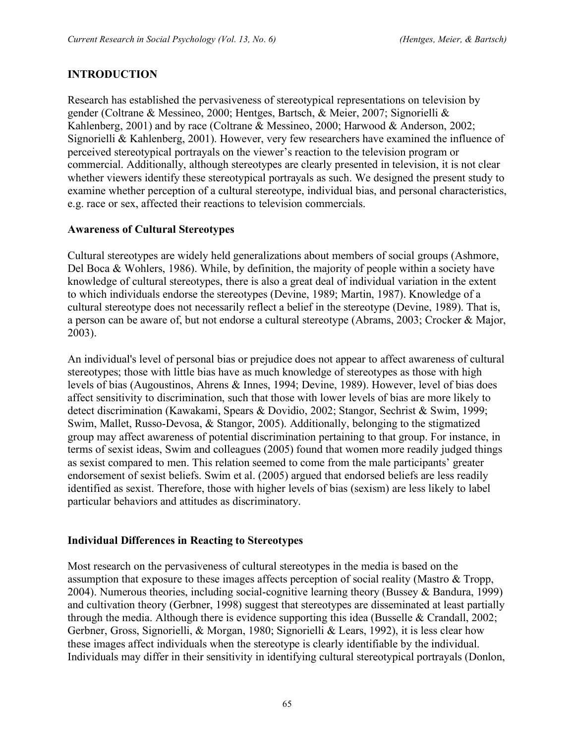## **INTRODUCTION**

Research has established the pervasiveness of stereotypical representations on television by gender (Coltrane & Messineo, 2000; Hentges, Bartsch, & Meier, 2007; Signorielli & Kahlenberg, 2001) and by race (Coltrane & Messineo, 2000; Harwood & Anderson, 2002; Signorielli & Kahlenberg, 2001). However, very few researchers have examined the influence of perceived stereotypical portrayals on the viewer's reaction to the television program or commercial. Additionally, although stereotypes are clearly presented in television, it is not clear whether viewers identify these stereotypical portrayals as such. We designed the present study to examine whether perception of a cultural stereotype, individual bias, and personal characteristics, e.g. race or sex, affected their reactions to television commercials.

#### **Awareness of Cultural Stereotypes**

Cultural stereotypes are widely held generalizations about members of social groups (Ashmore, Del Boca & Wohlers, 1986). While, by definition, the majority of people within a society have knowledge of cultural stereotypes, there is also a great deal of individual variation in the extent to which individuals endorse the stereotypes (Devine, 1989; Martin, 1987). Knowledge of a cultural stereotype does not necessarily reflect a belief in the stereotype (Devine, 1989). That is, a person can be aware of, but not endorse a cultural stereotype (Abrams, 2003; Crocker & Major, 2003).

An individual's level of personal bias or prejudice does not appear to affect awareness of cultural stereotypes; those with little bias have as much knowledge of stereotypes as those with high levels of bias (Augoustinos, Ahrens & Innes, 1994; Devine, 1989). However, level of bias does affect sensitivity to discrimination, such that those with lower levels of bias are more likely to detect discrimination (Kawakami, Spears & Dovidio, 2002; Stangor, Sechrist & Swim, 1999; Swim, Mallet, Russo-Devosa, & Stangor, 2005). Additionally, belonging to the stigmatized group may affect awareness of potential discrimination pertaining to that group. For instance, in terms of sexist ideas, Swim and colleagues (2005) found that women more readily judged things as sexist compared to men. This relation seemed to come from the male participants' greater endorsement of sexist beliefs. Swim et al. (2005) argued that endorsed beliefs are less readily identified as sexist. Therefore, those with higher levels of bias (sexism) are less likely to label particular behaviors and attitudes as discriminatory.

#### **Individual Differences in Reacting to Stereotypes**

Most research on the pervasiveness of cultural stereotypes in the media is based on the assumption that exposure to these images affects perception of social reality (Mastro & Tropp, 2004). Numerous theories, including social-cognitive learning theory (Bussey & Bandura, 1999) and cultivation theory (Gerbner, 1998) suggest that stereotypes are disseminated at least partially through the media. Although there is evidence supporting this idea (Busselle  $& Crandall, 2002;$ Gerbner, Gross, Signorielli, & Morgan, 1980; Signorielli & Lears, 1992), it is less clear how these images affect individuals when the stereotype is clearly identifiable by the individual. Individuals may differ in their sensitivity in identifying cultural stereotypical portrayals (Donlon,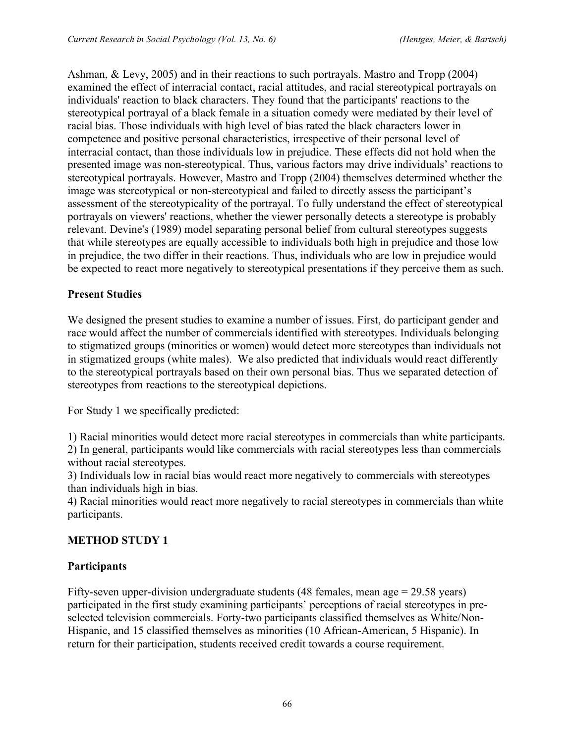Ashman, & Levy, 2005) and in their reactions to such portrayals. Mastro and Tropp (2004) examined the effect of interracial contact, racial attitudes, and racial stereotypical portrayals on individuals' reaction to black characters. They found that the participants' reactions to the stereotypical portrayal of a black female in a situation comedy were mediated by their level of racial bias. Those individuals with high level of bias rated the black characters lower in competence and positive personal characteristics, irrespective of their personal level of interracial contact, than those individuals low in prejudice. These effects did not hold when the presented image was non-stereotypical. Thus, various factors may drive individuals' reactions to stereotypical portrayals. However, Mastro and Tropp (2004) themselves determined whether the image was stereotypical or non-stereotypical and failed to directly assess the participant's assessment of the stereotypicality of the portrayal. To fully understand the effect of stereotypical portrayals on viewers' reactions, whether the viewer personally detects a stereotype is probably relevant. Devine's (1989) model separating personal belief from cultural stereotypes suggests that while stereotypes are equally accessible to individuals both high in prejudice and those low in prejudice, the two differ in their reactions. Thus, individuals who are low in prejudice would be expected to react more negatively to stereotypical presentations if they perceive them as such.

## **Present Studies**

We designed the present studies to examine a number of issues. First, do participant gender and race would affect the number of commercials identified with stereotypes. Individuals belonging to stigmatized groups (minorities or women) would detect more stereotypes than individuals not in stigmatized groups (white males). We also predicted that individuals would react differently to the stereotypical portrayals based on their own personal bias. Thus we separated detection of stereotypes from reactions to the stereotypical depictions.

For Study 1 we specifically predicted:

1) Racial minorities would detect more racial stereotypes in commercials than white participants. 2) In general, participants would like commercials with racial stereotypes less than commercials without racial stereotypes.

3) Individuals low in racial bias would react more negatively to commercials with stereotypes than individuals high in bias.

4) Racial minorities would react more negatively to racial stereotypes in commercials than white participants.

#### **METHOD STUDY 1**

#### **Participants**

Fifty-seven upper-division undergraduate students (48 females, mean age = 29.58 years) participated in the first study examining participants' perceptions of racial stereotypes in preselected television commercials. Forty-two participants classified themselves as White/Non-Hispanic, and 15 classified themselves as minorities (10 African-American, 5 Hispanic). In return for their participation, students received credit towards a course requirement.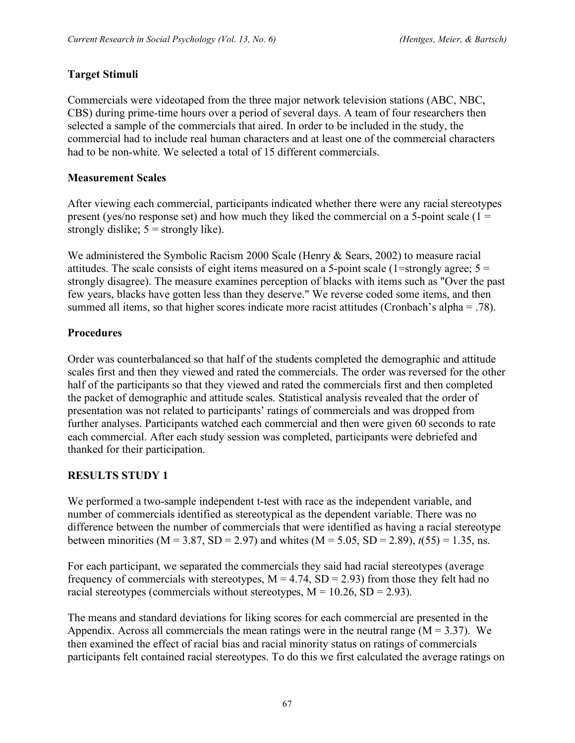## **Target Stimuli**

Commercials were videotaped from the three major network television stations (ABC, NBC, CBS) during prime-time hours over a period of several days. A team of four researchers then selected a sample of the commercials that aired. In order to be included in the study, the commercial had to include real human characters and at least one of the commercial characters had to be non-white. We selected a total of 15 different commercials.

## **Measurement Scales**

After viewing each commercial, participants indicated whether there were any racial stereotypes present (yes/no response set) and how much they liked the commercial on a 5-point scale ( $1 =$ strongly dislike;  $5 =$  strongly like).

We administered the Symbolic Racism 2000 Scale (Henry & Sears, 2002) to measure racial attitudes. The scale consists of eight items measured on a 5-point scale (1=strongly agree;  $5 =$ strongly disagree). The measure examines perception of blacks with items such as "Over the past few years, blacks have gotten less than they deserve." We reverse coded some items, and then summed all items, so that higher scores indicate more racist attitudes (Cronbach's alpha = .78).

## **Procedures**

Order was counterbalanced so that half of the students completed the demographic and attitude scales first and then they viewed and rated the commercials. The order was reversed for the other half of the participants so that they viewed and rated the commercials first and then completed the packet of demographic and attitude scales. Statistical analysis revealed that the order of presentation was not related to participants' ratings of commercials and was dropped from further analyses. Participants watched each commercial and then were given 60 seconds to rate each commercial. After each study session was completed, participants were debriefed and thanked for their participation.

## **RESULTS STUDY 1**

We performed a two-sample independent t-test with race as the independent variable, and number of commercials identified as stereotypical as the dependent variable. There was no difference between the number of commercials that were identified as having a racial stereotype between minorities ( $M = 3.87$ ,  $SD = 2.97$ ) and whites ( $M = 5.05$ ,  $SD = 2.89$ ),  $t(55) = 1.35$ , ns.

For each participant, we separated the commercials they said had racial stereotypes (average frequency of commercials with stereotypes,  $M = 4.74$ ,  $SD = 2.93$ ) from those they felt had no racial stereotypes (commercials without stereotypes,  $M = 10.26$ ,  $SD = 2.93$ ).

The means and standard deviations for liking scores for each commercial are presented in the Appendix. Across all commercials the mean ratings were in the neutral range  $(M = 3.37)$ . We then examined the effect of racial bias and racial minority status on ratings of commercials participants felt contained racial stereotypes. To do this we first calculated the average ratings on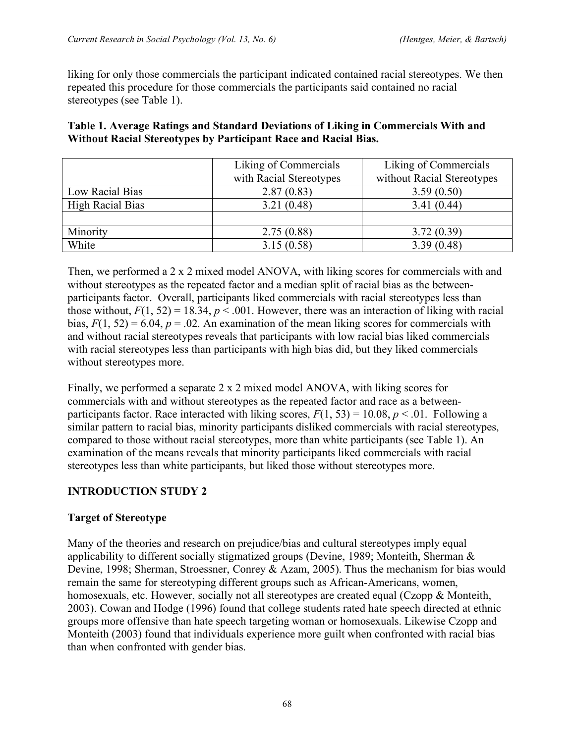liking for only those commercials the participant indicated contained racial stereotypes. We then repeated this procedure for those commercials the participants said contained no racial stereotypes (see Table 1).

| Table 1. Average Ratings and Standard Deviations of Liking in Commercials With and |
|------------------------------------------------------------------------------------|
| Without Racial Stereotypes by Participant Race and Racial Bias.                    |

|                  | Liking of Commercials   | Liking of Commercials      |  |  |
|------------------|-------------------------|----------------------------|--|--|
|                  | with Racial Stereotypes | without Racial Stereotypes |  |  |
| Low Racial Bias  | 2.87(0.83)              | 3.59(0.50)                 |  |  |
| High Racial Bias | 3.21(0.48)              | 3.41(0.44)                 |  |  |
|                  |                         |                            |  |  |
| Minority         | 2.75(0.88)              | 3.72(0.39)                 |  |  |
| White            | 3.15(0.58)              | 3.39(0.48)                 |  |  |

Then, we performed a 2 x 2 mixed model ANOVA, with liking scores for commercials with and without stereotypes as the repeated factor and a median split of racial bias as the betweenparticipants factor. Overall, participants liked commercials with racial stereotypes less than those without,  $F(1, 52) = 18.34$ ,  $p < .001$ . However, there was an interaction of liking with racial bias,  $F(1, 52) = 6.04$ ,  $p = 0.02$ . An examination of the mean liking scores for commercials with and without racial stereotypes reveals that participants with low racial bias liked commercials with racial stereotypes less than participants with high bias did, but they liked commercials without stereotypes more.

Finally, we performed a separate 2 x 2 mixed model ANOVA, with liking scores for commercials with and without stereotypes as the repeated factor and race as a betweenparticipants factor. Race interacted with liking scores,  $F(1, 53) = 10.08$ ,  $p < .01$ . Following a similar pattern to racial bias, minority participants disliked commercials with racial stereotypes, compared to those without racial stereotypes, more than white participants (see Table 1). An examination of the means reveals that minority participants liked commercials with racial stereotypes less than white participants, but liked those without stereotypes more.

## **INTRODUCTION STUDY 2**

## **Target of Stereotype**

Many of the theories and research on prejudice/bias and cultural stereotypes imply equal applicability to different socially stigmatized groups (Devine, 1989; Monteith, Sherman & Devine, 1998; Sherman, Stroessner, Conrey & Azam, 2005). Thus the mechanism for bias would remain the same for stereotyping different groups such as African-Americans, women, homosexuals, etc. However, socially not all stereotypes are created equal (Czopp & Monteith, 2003). Cowan and Hodge (1996) found that college students rated hate speech directed at ethnic groups more offensive than hate speech targeting woman or homosexuals. Likewise Czopp and Monteith (2003) found that individuals experience more guilt when confronted with racial bias than when confronted with gender bias.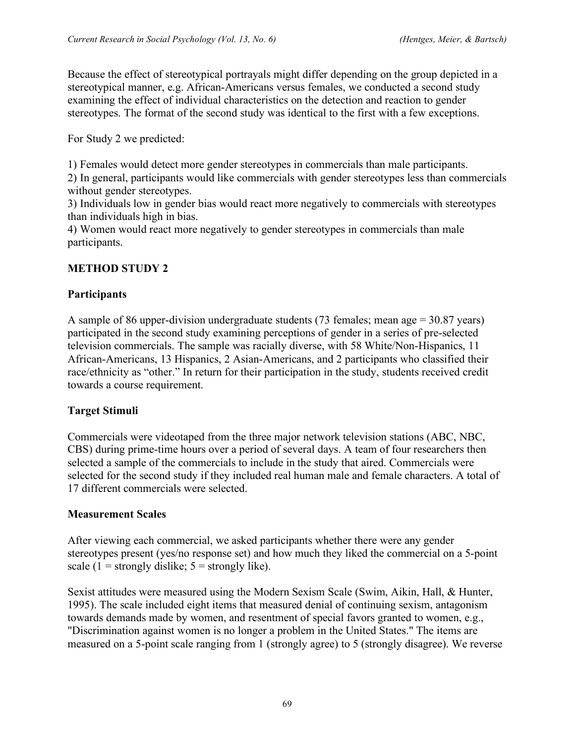Because the effect of stereotypical portrayals might differ depending on the group depicted in a stereotypical manner, e.g. African-Americans versus females, we conducted a second study examining the effect of individual characteristics on the detection and reaction to gender stereotypes. The format of the second study was identical to the first with a few exceptions.

For Study 2 we predicted:

1) Females would detect more gender stereotypes in commercials than male participants.

2) In general, participants would like commercials with gender stereotypes less than commercials without gender stereotypes.

3) Individuals low in gender bias would react more negatively to commercials with stereotypes than individuals high in bias.

4) Women would react more negatively to gender stereotypes in commercials than male participants.

## **METHOD STUDY 2**

## **Participants**

A sample of 86 upper-division undergraduate students (73 females; mean age = 30.87 years) participated in the second study examining perceptions of gender in a series of pre-selected television commercials. The sample was racially diverse, with 58 White/Non-Hispanics, 11 African-Americans, 13 Hispanics, 2 Asian-Americans, and 2 participants who classified their race/ethnicity as "other." In return for their participation in the study, students received credit towards a course requirement.

## **Target Stimuli**

Commercials were videotaped from the three major network television stations (ABC, NBC, CBS) during prime-time hours over a period of several days. A team of four researchers then selected a sample of the commercials to include in the study that aired. Commercials were selected for the second study if they included real human male and female characters. A total of 17 different commercials were selected.

## **Measurement Scales**

After viewing each commercial, we asked participants whether there were any gender stereotypes present (yes/no response set) and how much they liked the commercial on a 5-point scale (1 = strongly dislike;  $5 =$  strongly like).

Sexist attitudes were measured using the Modern Sexism Scale (Swim, Aikin, Hall, & Hunter, 1995). The scale included eight items that measured denial of continuing sexism, antagonism towards demands made by women, and resentment of special favors granted to women, e.g., "Discrimination against women is no longer a problem in the United States." The items are measured on a 5-point scale ranging from 1 (strongly agree) to 5 (strongly disagree). We reverse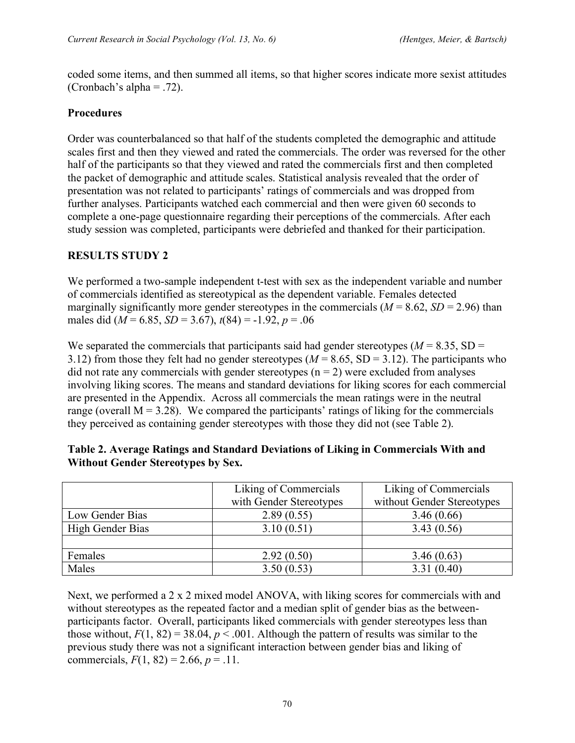coded some items, and then summed all items, so that higher scores indicate more sexist attitudes (Cronbach's alpha = .72).

## **Procedures**

Order was counterbalanced so that half of the students completed the demographic and attitude scales first and then they viewed and rated the commercials. The order was reversed for the other half of the participants so that they viewed and rated the commercials first and then completed the packet of demographic and attitude scales. Statistical analysis revealed that the order of presentation was not related to participants' ratings of commercials and was dropped from further analyses. Participants watched each commercial and then were given 60 seconds to complete a one-page questionnaire regarding their perceptions of the commercials. After each study session was completed, participants were debriefed and thanked for their participation.

## **RESULTS STUDY 2**

We performed a two-sample independent t-test with sex as the independent variable and number of commercials identified as stereotypical as the dependent variable. Females detected marginally significantly more gender stereotypes in the commercials  $(M = 8.62, SD = 2.96)$  than males did (*M* = 6.85, *SD* = 3.67), *t*(84) = -1.92, *p* = .06

We separated the commercials that participants said had gender stereotypes ( $M = 8.35$ , SD = 3.12) from those they felt had no gender stereotypes ( $M = 8.65$ , SD = 3.12). The participants who did not rate any commercials with gender stereotypes ( $n = 2$ ) were excluded from analyses involving liking scores. The means and standard deviations for liking scores for each commercial are presented in the Appendix. Across all commercials the mean ratings were in the neutral range (overall  $M = 3.28$ ). We compared the participants' ratings of liking for the commercials they perceived as containing gender stereotypes with those they did not (see Table 2).

|                  | Liking of Commercials   | Liking of Commercials      |  |
|------------------|-------------------------|----------------------------|--|
|                  | with Gender Stereotypes | without Gender Stereotypes |  |
| Low Gender Bias  | 2.89(0.55)              | 3.46(0.66)                 |  |
| High Gender Bias | 3.10(0.51)              | 3.43(0.56)                 |  |
|                  |                         |                            |  |
| Females          | 2.92(0.50)              | 3.46(0.63)                 |  |
| Males            | 3.50(0.53)              | 3.31(0.40)                 |  |

| Table 2. Average Ratings and Standard Deviations of Liking in Commercials With and |  |  |
|------------------------------------------------------------------------------------|--|--|
| <b>Without Gender Stereotypes by Sex.</b>                                          |  |  |

Next, we performed a 2 x 2 mixed model ANOVA, with liking scores for commercials with and without stereotypes as the repeated factor and a median split of gender bias as the betweenparticipants factor. Overall, participants liked commercials with gender stereotypes less than those without,  $F(1, 82) = 38.04$ ,  $p < .001$ . Although the pattern of results was similar to the previous study there was not a significant interaction between gender bias and liking of commercials,  $F(1, 82) = 2.66$ ,  $p = .11$ .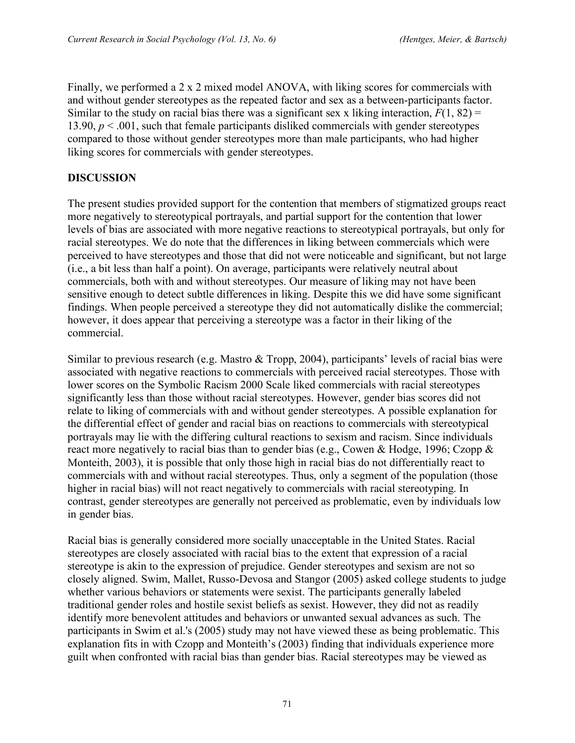Finally, we performed a 2 x 2 mixed model ANOVA, with liking scores for commercials with and without gender stereotypes as the repeated factor and sex as a between-participants factor. Similar to the study on racial bias there was a significant sex x liking interaction,  $F(1, 82) =$ 13.90,  $p < .001$ , such that female participants disliked commercials with gender stereotypes compared to those without gender stereotypes more than male participants, who had higher liking scores for commercials with gender stereotypes.

## **DISCUSSION**

The present studies provided support for the contention that members of stigmatized groups react more negatively to stereotypical portrayals, and partial support for the contention that lower levels of bias are associated with more negative reactions to stereotypical portrayals, but only for racial stereotypes. We do note that the differences in liking between commercials which were perceived to have stereotypes and those that did not were noticeable and significant, but not large (i.e., a bit less than half a point). On average, participants were relatively neutral about commercials, both with and without stereotypes. Our measure of liking may not have been sensitive enough to detect subtle differences in liking. Despite this we did have some significant findings. When people perceived a stereotype they did not automatically dislike the commercial; however, it does appear that perceiving a stereotype was a factor in their liking of the commercial.

Similar to previous research (e.g. Mastro & Tropp, 2004), participants' levels of racial bias were associated with negative reactions to commercials with perceived racial stereotypes. Those with lower scores on the Symbolic Racism 2000 Scale liked commercials with racial stereotypes significantly less than those without racial stereotypes. However, gender bias scores did not relate to liking of commercials with and without gender stereotypes. A possible explanation for the differential effect of gender and racial bias on reactions to commercials with stereotypical portrayals may lie with the differing cultural reactions to sexism and racism. Since individuals react more negatively to racial bias than to gender bias (e.g., Cowen & Hodge, 1996; Czopp & Monteith, 2003), it is possible that only those high in racial bias do not differentially react to commercials with and without racial stereotypes. Thus, only a segment of the population (those higher in racial bias) will not react negatively to commercials with racial stereotyping. In contrast, gender stereotypes are generally not perceived as problematic, even by individuals low in gender bias.

Racial bias is generally considered more socially unacceptable in the United States. Racial stereotypes are closely associated with racial bias to the extent that expression of a racial stereotype is akin to the expression of prejudice. Gender stereotypes and sexism are not so closely aligned. Swim, Mallet, Russo-Devosa and Stangor (2005) asked college students to judge whether various behaviors or statements were sexist. The participants generally labeled traditional gender roles and hostile sexist beliefs as sexist. However, they did not as readily identify more benevolent attitudes and behaviors or unwanted sexual advances as such. The participants in Swim et al.'s (2005) study may not have viewed these as being problematic. This explanation fits in with Czopp and Monteith's (2003) finding that individuals experience more guilt when confronted with racial bias than gender bias. Racial stereotypes may be viewed as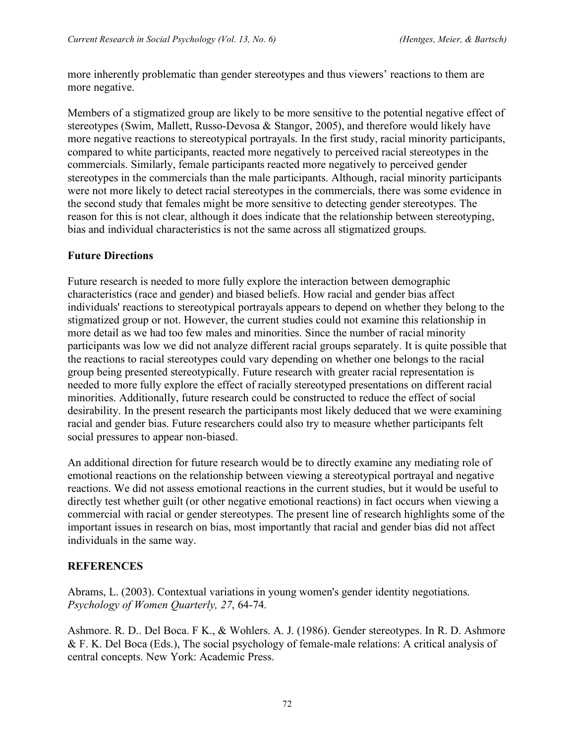more inherently problematic than gender stereotypes and thus viewers' reactions to them are more negative.

Members of a stigmatized group are likely to be more sensitive to the potential negative effect of stereotypes (Swim, Mallett, Russo-Devosa & Stangor, 2005), and therefore would likely have more negative reactions to stereotypical portrayals. In the first study, racial minority participants, compared to white participants, reacted more negatively to perceived racial stereotypes in the commercials. Similarly, female participants reacted more negatively to perceived gender stereotypes in the commercials than the male participants. Although, racial minority participants were not more likely to detect racial stereotypes in the commercials, there was some evidence in the second study that females might be more sensitive to detecting gender stereotypes. The reason for this is not clear, although it does indicate that the relationship between stereotyping, bias and individual characteristics is not the same across all stigmatized groups.

#### **Future Directions**

Future research is needed to more fully explore the interaction between demographic characteristics (race and gender) and biased beliefs. How racial and gender bias affect individuals' reactions to stereotypical portrayals appears to depend on whether they belong to the stigmatized group or not. However, the current studies could not examine this relationship in more detail as we had too few males and minorities. Since the number of racial minority participants was low we did not analyze different racial groups separately. It is quite possible that the reactions to racial stereotypes could vary depending on whether one belongs to the racial group being presented stereotypically. Future research with greater racial representation is needed to more fully explore the effect of racially stereotyped presentations on different racial minorities. Additionally, future research could be constructed to reduce the effect of social desirability. In the present research the participants most likely deduced that we were examining racial and gender bias. Future researchers could also try to measure whether participants felt social pressures to appear non-biased.

An additional direction for future research would be to directly examine any mediating role of emotional reactions on the relationship between viewing a stereotypical portrayal and negative reactions. We did not assess emotional reactions in the current studies, but it would be useful to directly test whether guilt (or other negative emotional reactions) in fact occurs when viewing a commercial with racial or gender stereotypes. The present line of research highlights some of the important issues in research on bias, most importantly that racial and gender bias did not affect individuals in the same way.

#### **REFERENCES**

Abrams, L. (2003). Contextual variations in young women's gender identity negotiations. *Psychology of Women Quarterly, 27*, 64-74.

Ashmore. R. D.. Del Boca. F K., & Wohlers. A. J. (1986). Gender stereotypes. In R. D. Ashmore & F. K. Del Boca (Eds.), The social psychology of female-male relations: A critical analysis of central concepts. New York: Academic Press.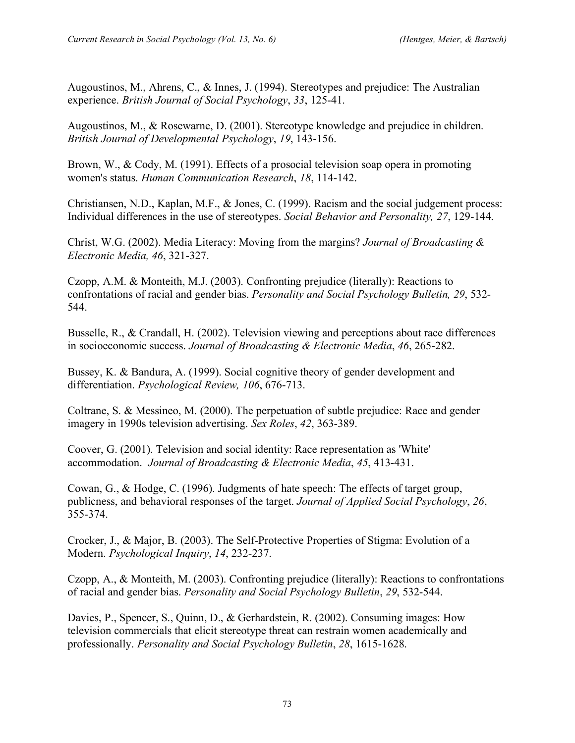Augoustinos, M., Ahrens, C., & Innes, J. (1994). Stereotypes and prejudice: The Australian experience. *British Journal of Social Psychology*, *33*, 125-41.

Augoustinos, M., & Rosewarne, D. (2001). Stereotype knowledge and prejudice in children. *British Journal of Developmental Psychology*, *19*, 143-156.

Brown, W., & Cody, M. (1991). Effects of a prosocial television soap opera in promoting women's status. *Human Communication Research*, *18*, 114-142.

Christiansen, N.D., Kaplan, M.F., & Jones, C. (1999). Racism and the social judgement process: Individual differences in the use of stereotypes. *Social Behavior and Personality, 27*, 129-144.

Christ, W.G. (2002). Media Literacy: Moving from the margins? *Journal of Broadcasting & Electronic Media, 46*, 321-327.

Czopp, A.M. & Monteith, M.J. (2003). Confronting prejudice (literally): Reactions to confrontations of racial and gender bias. *Personality and Social Psychology Bulletin, 29*, 532- 544.

Busselle, R., & Crandall, H. (2002). Television viewing and perceptions about race differences in socioeconomic success. *Journal of Broadcasting & Electronic Media*, *46*, 265-282.

Bussey, K. & Bandura, A. (1999). Social cognitive theory of gender development and differentiation. *Psychological Review, 106*, 676-713.

Coltrane, S. & Messineo, M. (2000). The perpetuation of subtle prejudice: Race and gender imagery in 1990s television advertising. *Sex Roles*, *42*, 363-389.

Coover, G. (2001). Television and social identity: Race representation as 'White' accommodation. *Journal of Broadcasting & Electronic Media*, *45*, 413-431.

Cowan, G., & Hodge, C. (1996). Judgments of hate speech: The effects of target group, publicness, and behavioral responses of the target. *Journal of Applied Social Psychology*, *26*, 355-374.

Crocker, J., & Major, B. (2003). The Self-Protective Properties of Stigma: Evolution of a Modern. *Psychological Inquiry*, *14*, 232-237.

Czopp, A., & Monteith, M. (2003). Confronting prejudice (literally): Reactions to confrontations of racial and gender bias. *Personality and Social Psychology Bulletin*, *29*, 532-544.

Davies, P., Spencer, S., Quinn, D., & Gerhardstein, R. (2002). Consuming images: How television commercials that elicit stereotype threat can restrain women academically and professionally. *Personality and Social Psychology Bulletin*, *28*, 1615-1628.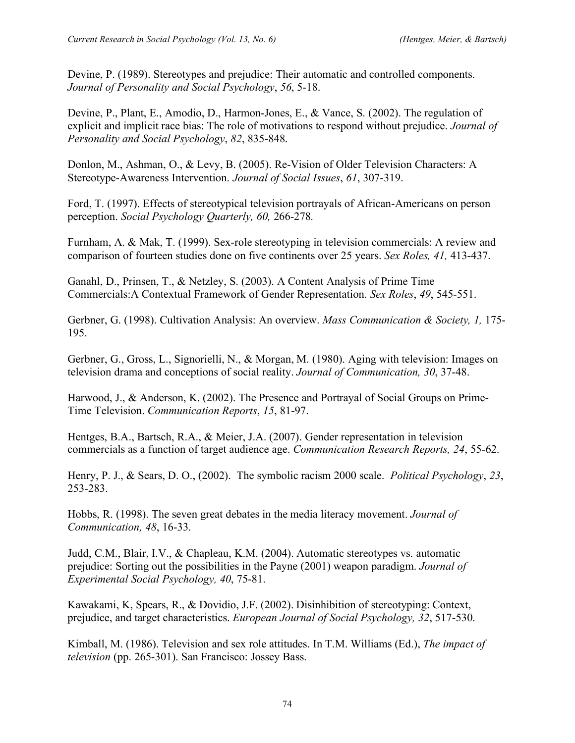Devine, P. (1989). Stereotypes and prejudice: Their automatic and controlled components. *Journal of Personality and Social Psychology*, *56*, 5-18.

Devine, P., Plant, E., Amodio, D., Harmon-Jones, E., & Vance, S. (2002). The regulation of explicit and implicit race bias: The role of motivations to respond without prejudice. *Journal of Personality and Social Psychology*, *82*, 835-848.

Donlon, M., Ashman, O., & Levy, B. (2005). Re-Vision of Older Television Characters: A Stereotype-Awareness Intervention. *Journal of Social Issues*, *61*, 307-319.

Ford, T. (1997). Effects of stereotypical television portrayals of African-Americans on person perception. *Social Psychology Quarterly, 60,* 266-278*.*

Furnham, A. & Mak, T. (1999). Sex-role stereotyping in television commercials: A review and comparison of fourteen studies done on five continents over 25 years. *Sex Roles, 41,* 413-437.

Ganahl, D., Prinsen, T., & Netzley, S. (2003). A Content Analysis of Prime Time Commercials:A Contextual Framework of Gender Representation. *Sex Roles*, *49*, 545-551.

Gerbner, G. (1998). Cultivation Analysis: An overview. *Mass Communication & Society, 1,* 175- 195.

Gerbner, G., Gross, L., Signorielli, N., & Morgan, M. (1980). Aging with television: Images on television drama and conceptions of social reality. *Journal of Communication, 30*, 37-48.

Harwood, J., & Anderson, K. (2002). The Presence and Portrayal of Social Groups on Prime-Time Television. *Communication Reports*, *15*, 81-97.

Hentges, B.A., Bartsch, R.A., & Meier, J.A. (2007). Gender representation in television commercials as a function of target audience age. *Communication Research Reports, 24*, 55-62.

Henry, P. J., & Sears, D. O., (2002). The symbolic racism 2000 scale. *Political Psychology*, *23*, 253-283.

Hobbs, R. (1998). The seven great debates in the media literacy movement. *Journal of Communication, 48*, 16-33.

Judd, C.M., Blair, I.V., & Chapleau, K.M. (2004). Automatic stereotypes vs. automatic prejudice: Sorting out the possibilities in the Payne (2001) weapon paradigm. *Journal of Experimental Social Psychology, 40*, 75-81.

Kawakami, K, Spears, R., & Dovidio, J.F. (2002). Disinhibition of stereotyping: Context, prejudice, and target characteristics. *European Journal of Social Psychology, 32*, 517-530.

Kimball, M. (1986). Television and sex role attitudes. In T.M. Williams (Ed.), *The impact of television* (pp. 265-301). San Francisco: Jossey Bass.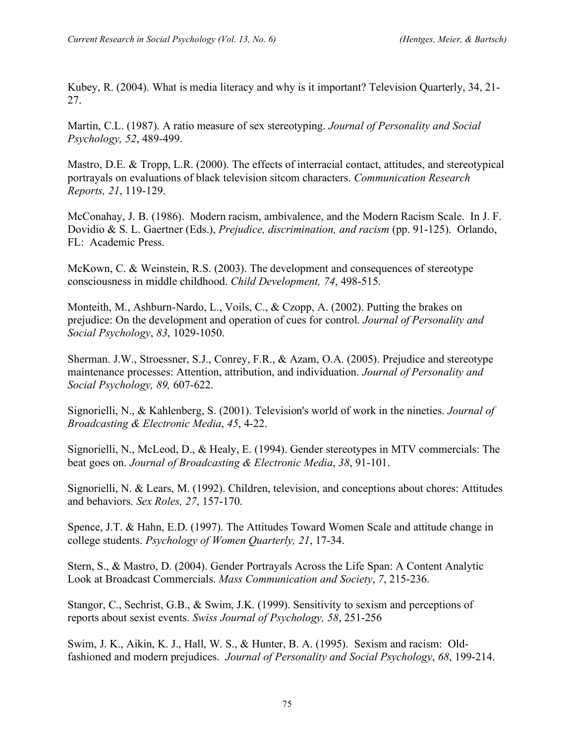Kubey, R. (2004). What is media literacy and why is it important? Television Quarterly, 34, 21- 27.

Martin, C.L. (1987). A ratio measure of sex stereotyping. *Journal of Personality and Social Psychology, 52*, 489-499.

Mastro, D.E. & Tropp, L.R. (2000). The effects of interracial contact, attitudes, and stereotypical portrayals on evaluations of black television sitcom characters. *Communication Research Reports, 21*, 119-129.

McConahay, J. B. (1986). Modern racism, ambivalence, and the Modern Racism Scale. In J. F. Dovidio & S. L. Gaertner (Eds.), *Prejudice, discrimination, and racism* (pp. 91-125). Orlando, FL: Academic Press.

McKown, C. & Weinstein, R.S. (2003). The development and consequences of stereotype consciousness in middle childhood. *Child Development, 74*, 498-515.

Monteith, M., Ashburn-Nardo, L., Voils, C., & Czopp, A. (2002). Putting the brakes on prejudice: On the development and operation of cues for control. *Journal of Personality and Social Psychology*, *83*, 1029-1050.

Sherman. J.W., Stroessner, S.J., Conrey, F.R., & Azam, O.A. (2005). Prejudice and stereotype maintenance processes: Attention, attribution, and individuation. *Journal of Personality and Social Psychology, 89,* 607-622.

Signorielli, N., & Kahlenberg, S. (2001). Television's world of work in the nineties. *Journal of Broadcasting & Electronic Media*, *45*, 4-22.

Signorielli, N., McLeod, D., & Healy, E. (1994). Gender stereotypes in MTV commercials: The beat goes on. *Journal of Broadcasting & Electronic Media*, *38*, 91-101.

Signorielli, N. & Lears, M. (1992). Children, television, and conceptions about chores: Attitudes and behaviors. *Sex Roles, 27*, 157-170.

Spence, J.T. & Hahn, E.D. (1997). The Attitudes Toward Women Scale and attitude change in college students. *Psychology of Women Quarterly, 21*, 17-34.

Stern, S., & Mastro, D. (2004). Gender Portrayals Across the Life Span: A Content Analytic Look at Broadcast Commercials. *Mass Communication and Society*, *7*, 215-236.

Stangor, C., Sechrist, G.B., & Swim, J.K. (1999). Sensitivity to sexism and perceptions of reports about sexist events. *Swiss Journal of Psychology, 58*, 251-256

Swim, J. K., Aikin, K. J., Hall, W. S., & Hunter, B. A. (1995). Sexism and racism: Oldfashioned and modern prejudices. *Journal of Personality and Social Psychology*, *68*, 199-214.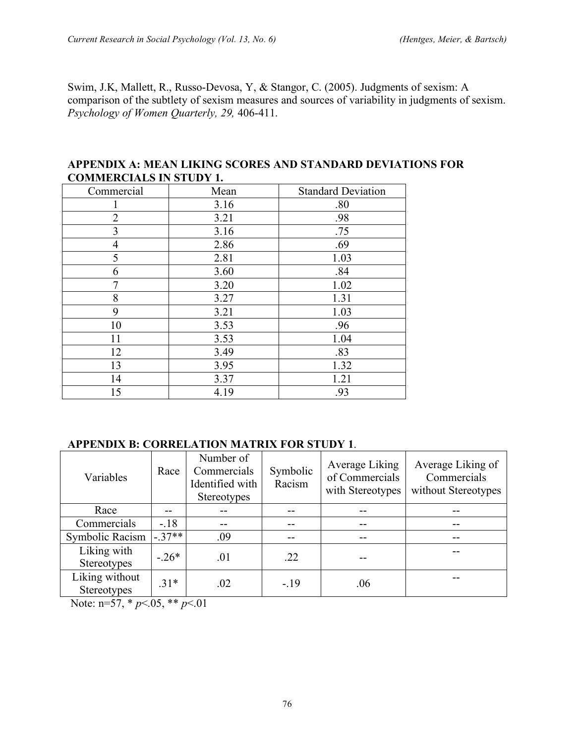Swim, J.K, Mallett, R., Russo-Devosa, Y, & Stangor, C. (2005). Judgments of sexism: A comparison of the subtlety of sexism measures and sources of variability in judgments of sexism. *Psychology of Women Quarterly, 29,* 406-411.

| COMMERCIALS IN STUDT 1. |      |                           |  |  |  |  |
|-------------------------|------|---------------------------|--|--|--|--|
| Commercial              | Mean | <b>Standard Deviation</b> |  |  |  |  |
|                         | 3.16 | .80                       |  |  |  |  |
| 2                       | 3.21 | .98                       |  |  |  |  |
| $\overline{3}$          | 3.16 | .75                       |  |  |  |  |
| 4                       | 2.86 | .69                       |  |  |  |  |
| 5                       | 2.81 | 1.03                      |  |  |  |  |
| 6                       | 3.60 | .84                       |  |  |  |  |
| 7                       | 3.20 | 1.02                      |  |  |  |  |
| 8                       | 3.27 | 1.31                      |  |  |  |  |
| 9                       | 3.21 | 1.03                      |  |  |  |  |
| 10                      | 3.53 | .96                       |  |  |  |  |
| 11                      | 3.53 | 1.04                      |  |  |  |  |
| 12                      | 3.49 | .83                       |  |  |  |  |
| 13                      | 3.95 | 1.32                      |  |  |  |  |
| 14                      | 3.37 | 1.21                      |  |  |  |  |
| 15                      | 4.19 | .93                       |  |  |  |  |

#### **APPENDIX A: MEAN LIKING SCORES AND STANDARD DEVIATIONS FOR COMMERCIALS IN STUDY 1.**

#### **APPENDIX B: CORRELATION MATRIX FOR STUDY 1**.

| Variables                            | Race    | Number of<br>Commercials<br>Identified with<br><b>Stereotypes</b> | Symbolic<br>Racism | Average Liking<br>of Commercials<br>with Stereotypes | Average Liking of<br>Commercials<br>without Stereotypes |
|--------------------------------------|---------|-------------------------------------------------------------------|--------------------|------------------------------------------------------|---------------------------------------------------------|
| Race                                 |         |                                                                   |                    |                                                      |                                                         |
| Commercials                          | $-.18$  |                                                                   |                    |                                                      |                                                         |
| Symbolic Racism                      | $-37**$ | .09                                                               | --                 |                                                      | --                                                      |
| Liking with<br>Stereotypes           | $-26*$  | .01                                                               | .22                |                                                      |                                                         |
| Liking without<br><b>Stereotypes</b> | $31*$   | .02                                                               | $-.19$             | .06                                                  |                                                         |

Note: n=57, \* *p*<.05, \*\* *p*<.01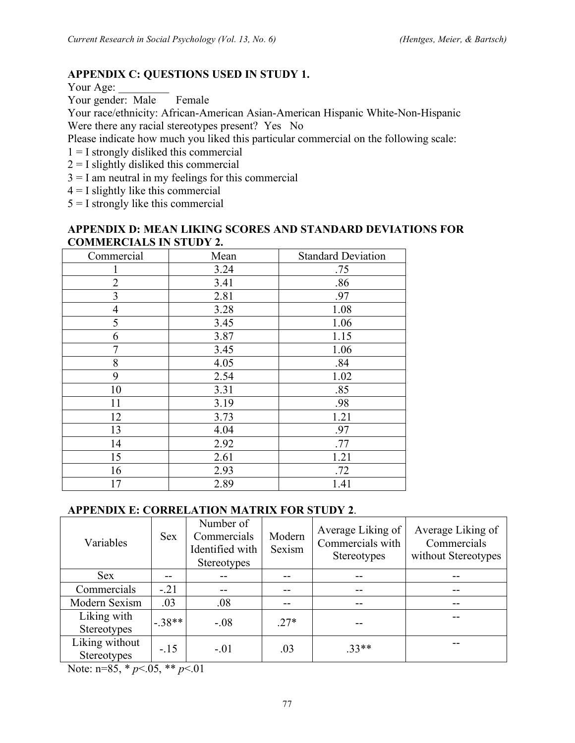## **APPENDIX C: QUESTIONS USED IN STUDY 1.**

Your Age:

Your gender: Male Female

Your race/ethnicity: African-American Asian-American Hispanic White-Non-Hispanic Were there any racial stereotypes present? Yes No

Please indicate how much you liked this particular commercial on the following scale:

- $1 = I$  strongly disliked this commercial
- $2 = I$  slightly disliked this commercial
- $3 = I$  am neutral in my feelings for this commercial
- $4 = I$  slightly like this commercial

 $5 = I$  strongly like this commercial

#### **APPENDIX D: MEAN LIKING SCORES AND STANDARD DEVIATIONS FOR COMMERCIALS IN STUDY 2.**

| Commercial     | Mean | <b>Standard Deviation</b> |
|----------------|------|---------------------------|
|                | 3.24 | .75                       |
| $\overline{2}$ | 3.41 | .86                       |
| 3              | 2.81 | .97                       |
| 4              | 3.28 | 1.08                      |
| 5              | 3.45 | 1.06                      |
| 6              | 3.87 | 1.15                      |
|                | 3.45 | 1.06                      |
| 8              | 4.05 | .84                       |
| 9              | 2.54 | 1.02                      |
| 10             | 3.31 | .85                       |
| 11             | 3.19 | .98                       |
| 12             | 3.73 | 1.21                      |
| 13             | 4.04 | .97                       |
| 14             | 2.92 | .77                       |
| 15             | 2.61 | 1.21                      |
| 16             | 2.93 | .72                       |
| 17             | 2.89 | 1.41                      |

#### **APPENDIX E: CORRELATION MATRIX FOR STUDY 2**.

| Variables                     | <b>Sex</b> | Number of<br>Commercials<br>Identified with<br><b>Stereotypes</b> | Modern<br>Sexism | Average Liking of<br>Commercials with<br>Stereotypes | Average Liking of<br>Commercials<br>without Stereotypes |
|-------------------------------|------------|-------------------------------------------------------------------|------------------|------------------------------------------------------|---------------------------------------------------------|
| <b>Sex</b>                    |            | --                                                                |                  |                                                      | --                                                      |
| Commercials                   | $-21$      | --                                                                |                  |                                                      | --                                                      |
| Modern Sexism                 | .03        | .08                                                               |                  | --                                                   | --                                                      |
| Liking with<br>Stereotypes    | $-38**$    | $-.08$                                                            | $.27*$           |                                                      |                                                         |
| Liking without<br>Stereotypes | $-.15$     | $-.01$                                                            | .03              | $33**$                                               |                                                         |

Note: n=85, \* *p*<.05, \*\* *p*<.01